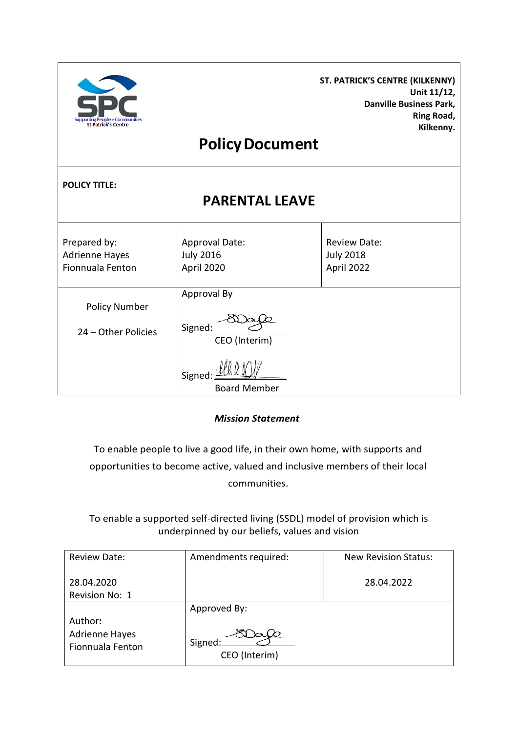| <b>Supporting People in Communities</b><br><b>St Patrick's Centre</b> |                                                  | <b>ST. PATRICK'S CENTRE (KILKENNY)</b><br>Unit 11/12,<br><b>Danville Business Park,</b><br>Ring Road,<br>Kilkenny. |  |  |  |
|-----------------------------------------------------------------------|--------------------------------------------------|--------------------------------------------------------------------------------------------------------------------|--|--|--|
| <b>Policy Document</b>                                                |                                                  |                                                                                                                    |  |  |  |
| <b>POLICY TITLE:</b><br><b>PARENTAL LEAVE</b>                         |                                                  |                                                                                                                    |  |  |  |
| Prepared by:<br><b>Adrienne Hayes</b><br>Fionnuala Fenton             | Approval Date:<br><b>July 2016</b><br>April 2020 | <b>Review Date:</b><br><b>July 2018</b><br>April 2022                                                              |  |  |  |
| <b>Policy Number</b><br>24 - Other Policies                           | Approval By<br>Signed:<br>CEO (Interim)          |                                                                                                                    |  |  |  |
|                                                                       | Signed<br><b>Board Member</b>                    |                                                                                                                    |  |  |  |

*Mission Statement*

To enable people to live a good life, in their own home, with supports and opportunities to become active, valued and inclusive members of their local communities.

To enable a supported self-directed living (SSDL) model of provision which is underpinned by our beliefs, values and vision

| Review Date:                                         | Amendments required:     | <b>New Revision Status:</b> |
|------------------------------------------------------|--------------------------|-----------------------------|
| 28.04.2020<br>Revision No: 1                         |                          | 28.04.2022                  |
|                                                      | Approved By:             |                             |
| Author:<br><b>Adrienne Hayes</b><br>Fionnuala Fenton | Signed:<br>CEO (Interim) |                             |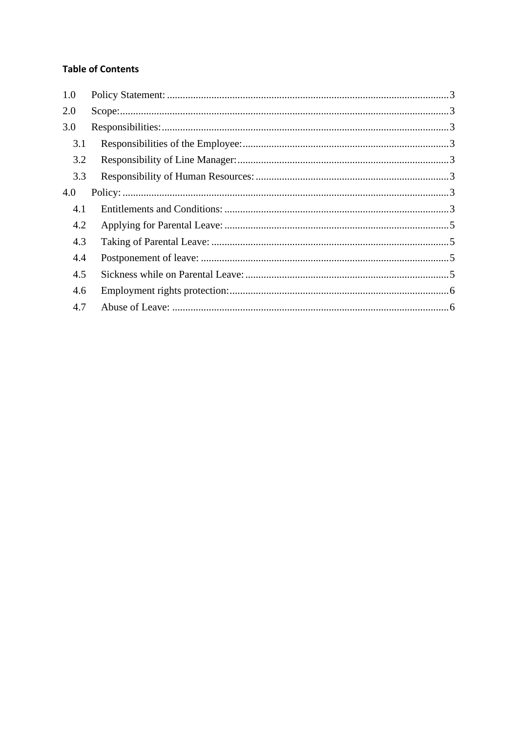# **Table of Contents**

| 1.0 |  |
|-----|--|
| 2.0 |  |
| 3.0 |  |
| 3.1 |  |
| 3.2 |  |
| 3.3 |  |
| 4.0 |  |
| 4.1 |  |
| 4.2 |  |
| 4.3 |  |
| 4.4 |  |
| 4.5 |  |
| 4.6 |  |
| 4.7 |  |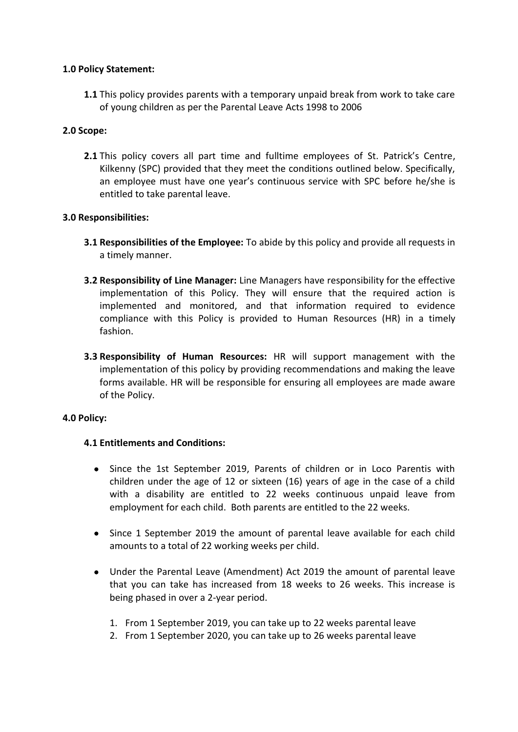## <span id="page-2-0"></span>**1.0 Policy Statement:**

**1.1** This policy provides parents with a temporary unpaid break from work to take care of young children as per the Parental Leave Acts 1998 to 2006

## <span id="page-2-1"></span>**2.0 Scope:**

**2.1** This policy covers all part time and fulltime employees of St. Patrick's Centre, Kilkenny (SPC) provided that they meet the conditions outlined below. Specifically, an employee must have one year's continuous service with SPC before he/she is entitled to take parental leave.

### <span id="page-2-2"></span>**3.0 Responsibilities:**

- <span id="page-2-3"></span>**3.1 Responsibilities of the Employee:** To abide by this policy and provide all requests in a timely manner.
- <span id="page-2-4"></span>**3.2 Responsibility of Line Manager:** Line Managers have responsibility for the effective implementation of this Policy. They will ensure that the required action is implemented and monitored, and that information required to evidence compliance with this Policy is provided to Human Resources (HR) in a timely fashion.
- <span id="page-2-5"></span>**3.3 Responsibility of Human Resources:** HR will support management with the implementation of this policy by providing recommendations and making the leave forms available. HR will be responsible for ensuring all employees are made aware of the Policy.

### <span id="page-2-7"></span><span id="page-2-6"></span>**4.0 Policy:**

### **4.1 Entitlements and Conditions:**

- Since the 1st September 2019, Parents of children or in Loco Parentis with children under the age of 12 or sixteen (16) years of age in the case of a child with a disability are entitled to 22 weeks continuous unpaid leave from employment for each child. Both parents are entitled to the 22 weeks.
- Since 1 September 2019 the amount of parental leave available for each child amounts to a total of 22 working weeks per child.
- Under the Parental Leave (Amendment) Act 2019 the amount of parental leave that you can take has increased from 18 weeks to 26 weeks. This increase is being phased in over a 2-year period.
	- 1. From 1 September 2019, you can take up to 22 weeks parental leave
	- 2. From 1 September 2020, you can take up to 26 weeks parental leave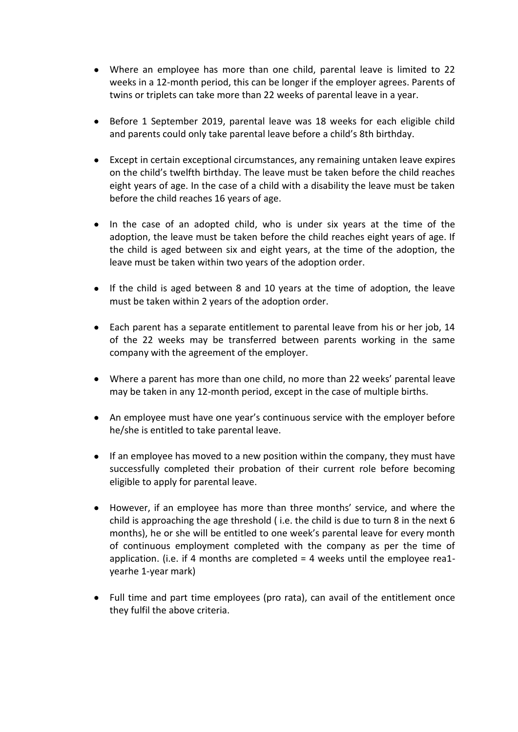- Where an employee has more than one child, parental leave is limited to 22 weeks in a 12-month period, this can be longer if the employer agrees. Parents of twins or triplets can take more than 22 weeks of parental leave in a year.
- Before 1 September 2019, parental leave was 18 weeks for each eligible child and parents could only take parental leave before a child's 8th birthday.
- Except in certain exceptional circumstances, any remaining untaken leave expires on the child's twelfth birthday. The leave must be taken before the child reaches eight years of age. In the case of a child with a disability the leave must be taken before the child reaches 16 years of age.
- In the case of an adopted child, who is under six years at the time of the adoption, the leave must be taken before the child reaches eight years of age. If the child is aged between six and eight years, at the time of the adoption, the leave must be taken within two years of the adoption order.
- If the child is aged between 8 and 10 years at the time of adoption, the leave must be taken within 2 years of the adoption order.
- Each parent has a separate entitlement to parental leave from his or her job, 14 of the 22 weeks may be transferred between parents working in the same company with the agreement of the employer.
- Where a parent has more than one child, no more than 22 weeks' parental leave may be taken in any 12-month period, except in the case of multiple births.
- An employee must have one year's continuous service with the employer before he/she is entitled to take parental leave.
- If an employee has moved to a new position within the company, they must have successfully completed their probation of their current role before becoming eligible to apply for parental leave.
- However, if an employee has more than three months' service, and where the child is approaching the age threshold ( i.e. the child is due to turn 8 in the next 6 months), he or she will be entitled to one week's parental leave for every month of continuous employment completed with the company as per the time of application. (i.e. if 4 months are completed = 4 weeks until the employee rea1 yearhe 1-year mark)
- Full time and part time employees (pro rata), can avail of the entitlement once they fulfil the above criteria.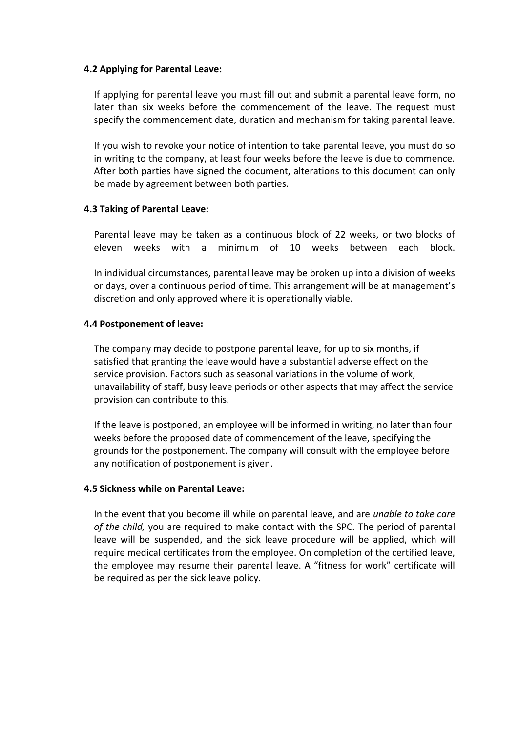### <span id="page-4-0"></span>**4.2 Applying for Parental Leave:**

If applying for parental leave you must fill out and submit a parental leave form, no later than six weeks before the commencement of the leave. The request must specify the commencement date, duration and mechanism for taking parental leave.

If you wish to revoke your notice of intention to take parental leave, you must do so in writing to the company, at least four weeks before the leave is due to commence. After both parties have signed the document, alterations to this document can only be made by agreement between both parties.

### <span id="page-4-1"></span>**4.3 Taking of Parental Leave:**

Parental leave may be taken as a continuous block of 22 weeks, or two blocks of eleven weeks with a minimum of 10 weeks between each block.

In individual circumstances, parental leave may be broken up into a division of weeks or days, over a continuous period of time. This arrangement will be at management's discretion and only approved where it is operationally viable.

#### <span id="page-4-2"></span>**4.4 Postponement of leave:**

The company may decide to postpone parental leave, for up to six months, if satisfied that granting the leave would have a substantial adverse effect on the service provision. Factors such as seasonal variations in the volume of work, unavailability of staff, busy leave periods or other aspects that may affect the service provision can contribute to this.

If the leave is postponed, an employee will be informed in writing, no later than four weeks before the proposed date of commencement of the leave, specifying the grounds for the postponement. The company will consult with the employee before any notification of postponement is given.

#### <span id="page-4-3"></span>**4.5 Sickness while on Parental Leave:**

In the event that you become ill while on parental leave, and are *unable to take care of the child,* you are required to make contact with the SPC. The period of parental leave will be suspended, and the sick leave procedure will be applied, which will require medical certificates from the employee. On completion of the certified leave, the employee may resume their parental leave. A "fitness for work" certificate will be required as per the sick leave policy.